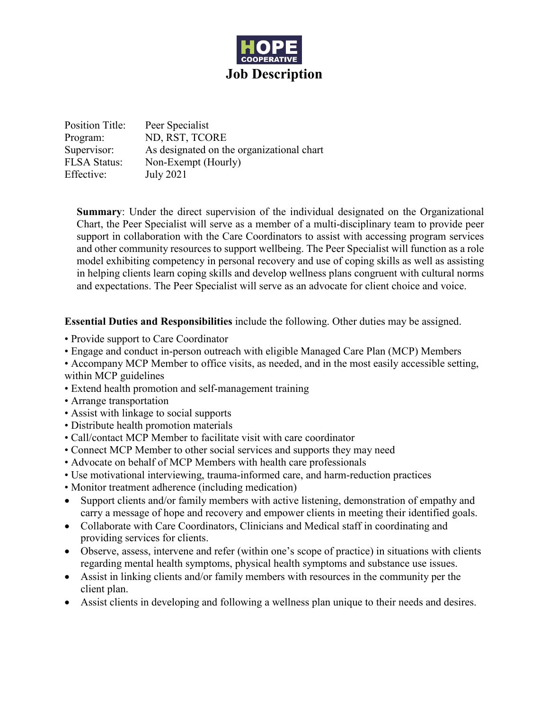

Position Title: Peer Specialist Program: ND, RST, TCORE Supervisor: As designated on the organizational chart FLSA Status: Non-Exempt (Hourly) Effective: July 2021

**Summary**: Under the direct supervision of the individual designated on the Organizational Chart, the Peer Specialist will serve as a member of a multi-disciplinary team to provide peer support in collaboration with the Care Coordinators to assist with accessing program services and other community resources to support wellbeing. The Peer Specialist will function as a role model exhibiting competency in personal recovery and use of coping skills as well as assisting in helping clients learn coping skills and develop wellness plans congruent with cultural norms and expectations. The Peer Specialist will serve as an advocate for client choice and voice.

**Essential Duties and Responsibilities** include the following. Other duties may be assigned.

- Provide support to Care Coordinator
- Engage and conduct in-person outreach with eligible Managed Care Plan (MCP) Members
- Accompany MCP Member to office visits, as needed, and in the most easily accessible setting, within MCP guidelines
- Extend health promotion and self-management training
- Arrange transportation
- Assist with linkage to social supports
- Distribute health promotion materials
- Call/contact MCP Member to facilitate visit with care coordinator
- Connect MCP Member to other social services and supports they may need
- Advocate on behalf of MCP Members with health care professionals
- Use motivational interviewing, trauma-informed care, and harm-reduction practices
- Monitor treatment adherence (including medication)
- Support clients and/or family members with active listening, demonstration of empathy and carry a message of hope and recovery and empower clients in meeting their identified goals.
- Collaborate with Care Coordinators, Clinicians and Medical staff in coordinating and providing services for clients.
- Observe, assess, intervene and refer (within one's scope of practice) in situations with clients regarding mental health symptoms, physical health symptoms and substance use issues.
- Assist in linking clients and/or family members with resources in the community per the client plan.
- Assist clients in developing and following a wellness plan unique to their needs and desires.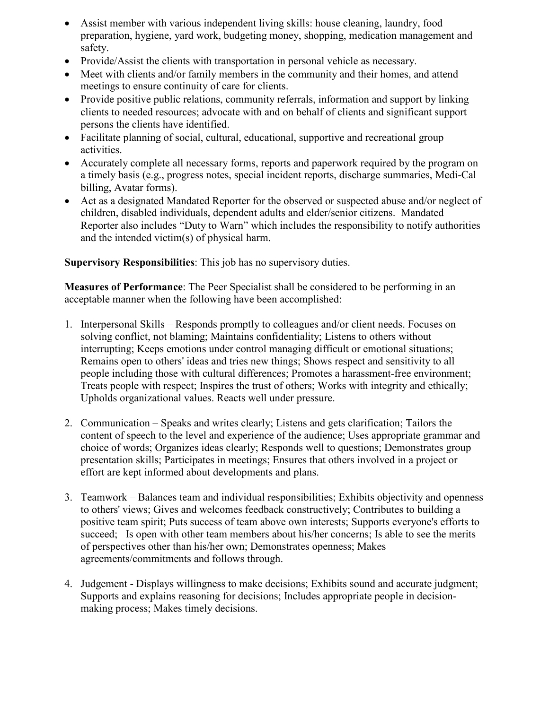- Assist member with various independent living skills: house cleaning, laundry, food preparation, hygiene, yard work, budgeting money, shopping, medication management and safety.
- Provide/Assist the clients with transportation in personal vehicle as necessary.
- Meet with clients and/or family members in the community and their homes, and attend meetings to ensure continuity of care for clients.
- Provide positive public relations, community referrals, information and support by linking clients to needed resources; advocate with and on behalf of clients and significant support persons the clients have identified.
- Facilitate planning of social, cultural, educational, supportive and recreational group activities.
- Accurately complete all necessary forms, reports and paperwork required by the program on a timely basis (e.g., progress notes, special incident reports, discharge summaries, Medi-Cal billing, Avatar forms).
- Act as a designated Mandated Reporter for the observed or suspected abuse and/or neglect of children, disabled individuals, dependent adults and elder/senior citizens. Mandated Reporter also includes "Duty to Warn" which includes the responsibility to notify authorities and the intended victim(s) of physical harm.

**Supervisory Responsibilities**: This job has no supervisory duties.

**Measures of Performance**: The Peer Specialist shall be considered to be performing in an acceptable manner when the following have been accomplished:

- 1. Interpersonal Skills Responds promptly to colleagues and/or client needs. Focuses on solving conflict, not blaming; Maintains confidentiality; Listens to others without interrupting; Keeps emotions under control managing difficult or emotional situations; Remains open to others' ideas and tries new things; Shows respect and sensitivity to all people including those with cultural differences; Promotes a harassment-free environment; Treats people with respect; Inspires the trust of others; Works with integrity and ethically; Upholds organizational values. Reacts well under pressure.
- 2. Communication Speaks and writes clearly; Listens and gets clarification; Tailors the content of speech to the level and experience of the audience; Uses appropriate grammar and choice of words; Organizes ideas clearly; Responds well to questions; Demonstrates group presentation skills; Participates in meetings; Ensures that others involved in a project or effort are kept informed about developments and plans.
- 3. Teamwork Balances team and individual responsibilities; Exhibits objectivity and openness to others' views; Gives and welcomes feedback constructively; Contributes to building a positive team spirit; Puts success of team above own interests; Supports everyone's efforts to succeed; Is open with other team members about his/her concerns; Is able to see the merits of perspectives other than his/her own; Demonstrates openness; Makes agreements/commitments and follows through.
- 4. Judgement Displays willingness to make decisions; Exhibits sound and accurate judgment; Supports and explains reasoning for decisions; Includes appropriate people in decisionmaking process; Makes timely decisions.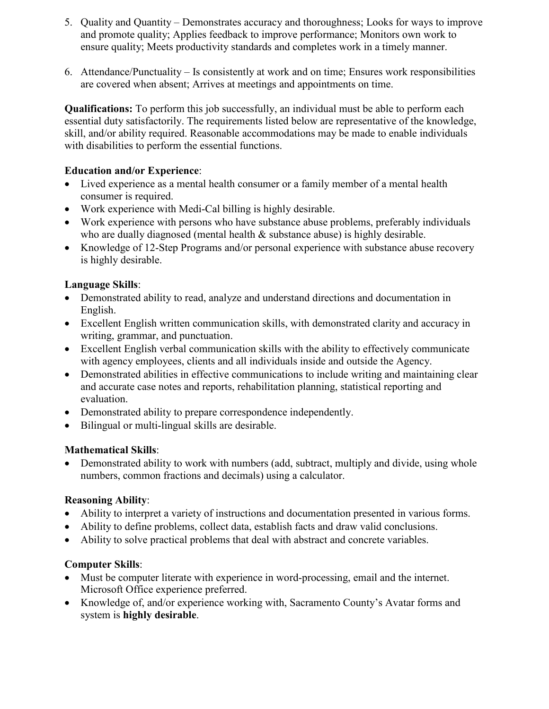- 5. Quality and Quantity Demonstrates accuracy and thoroughness; Looks for ways to improve and promote quality; Applies feedback to improve performance; Monitors own work to ensure quality; Meets productivity standards and completes work in a timely manner.
- 6. Attendance/Punctuality Is consistently at work and on time; Ensures work responsibilities are covered when absent; Arrives at meetings and appointments on time.

**Qualifications:** To perform this job successfully, an individual must be able to perform each essential duty satisfactorily. The requirements listed below are representative of the knowledge, skill, and/or ability required. Reasonable accommodations may be made to enable individuals with disabilities to perform the essential functions.

#### **Education and/or Experience**:

- Lived experience as a mental health consumer or a family member of a mental health consumer is required.
- Work experience with Medi-Cal billing is highly desirable.
- Work experience with persons who have substance abuse problems, preferably individuals who are dually diagnosed (mental health & substance abuse) is highly desirable.
- Knowledge of 12-Step Programs and/or personal experience with substance abuse recovery is highly desirable.

### **Language Skills**:

- Demonstrated ability to read, analyze and understand directions and documentation in English.
- Excellent English written communication skills, with demonstrated clarity and accuracy in writing, grammar, and punctuation.
- Excellent English verbal communication skills with the ability to effectively communicate with agency employees, clients and all individuals inside and outside the Agency.
- Demonstrated abilities in effective communications to include writing and maintaining clear and accurate case notes and reports, rehabilitation planning, statistical reporting and evaluation.
- Demonstrated ability to prepare correspondence independently.
- Bilingual or multi-lingual skills are desirable.

# **Mathematical Skills**:

• Demonstrated ability to work with numbers (add, subtract, multiply and divide, using whole numbers, common fractions and decimals) using a calculator.

# **Reasoning Ability**:

- Ability to interpret a variety of instructions and documentation presented in various forms.
- Ability to define problems, collect data, establish facts and draw valid conclusions.
- Ability to solve practical problems that deal with abstract and concrete variables.

# **Computer Skills**:

- Must be computer literate with experience in word-processing, email and the internet. Microsoft Office experience preferred.
- Knowledge of, and/or experience working with, Sacramento County's Avatar forms and system is **highly desirable**.